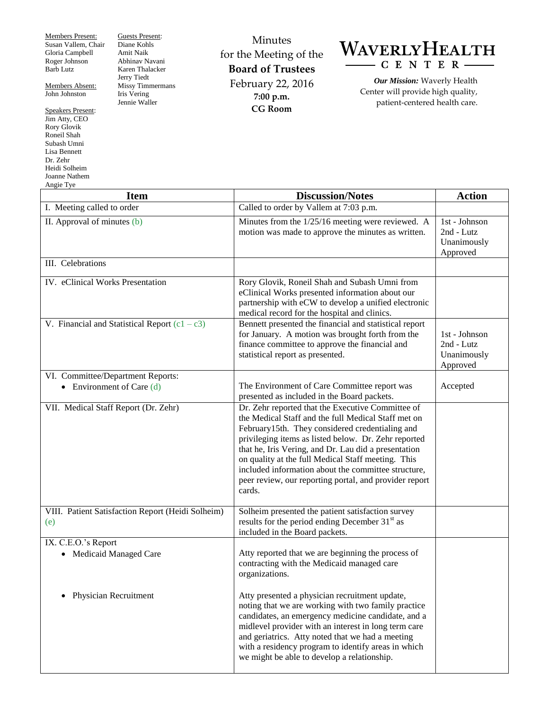Members Present: Susan Vallem, Chair Gloria Campbell Roger Johnson Barb Lutz

Members Absent: John Johnston

Speakers Present: Jim Atty, CEO Rory Glovik Roneil Shah Subash Umni Lisa Bennett Dr. Zehr Heidi Solheim Joanne Nathem Angie Tye

Guests Present: Diane Kohls Amit Naik Abhinav Navani Karen Thalacker Jerry Tiedt Missy Timmermans Iris Vering Jennie Waller

Minutes for the Meeting of the **Board of Trustees** February 22, 2016 **7:00 p.m. CG Room**

## WAVERLYHEALTH  $-C E N T E R$

*Our Mission:* Waverly Health Center will provide high quality, patient-centered health care.

| <b>Item</b>                                                      | <b>Discussion/Notes</b>                                                                                                                                                                                                                                                                                                                                                                                                                                      | <b>Action</b>                                          |
|------------------------------------------------------------------|--------------------------------------------------------------------------------------------------------------------------------------------------------------------------------------------------------------------------------------------------------------------------------------------------------------------------------------------------------------------------------------------------------------------------------------------------------------|--------------------------------------------------------|
| I. Meeting called to order                                       | Called to order by Vallem at 7:03 p.m.                                                                                                                                                                                                                                                                                                                                                                                                                       |                                                        |
| II. Approval of minutes (b)                                      | Minutes from the 1/25/16 meeting were reviewed. A<br>motion was made to approve the minutes as written.                                                                                                                                                                                                                                                                                                                                                      | 1st - Johnson<br>2nd - Lutz<br>Unanimously<br>Approved |
| III. Celebrations                                                |                                                                                                                                                                                                                                                                                                                                                                                                                                                              |                                                        |
| IV. eClinical Works Presentation                                 | Rory Glovik, Roneil Shah and Subash Umni from<br>eClinical Works presented information about our<br>partnership with eCW to develop a unified electronic<br>medical record for the hospital and clinics.                                                                                                                                                                                                                                                     |                                                        |
| V. Financial and Statistical Report $(c1 - c3)$                  | Bennett presented the financial and statistical report<br>for January. A motion was brought forth from the<br>finance committee to approve the financial and<br>statistical report as presented.                                                                                                                                                                                                                                                             | 1st - Johnson<br>2nd - Lutz<br>Unanimously<br>Approved |
| VI. Committee/Department Reports:<br>• Environment of Care $(d)$ | The Environment of Care Committee report was<br>presented as included in the Board packets.                                                                                                                                                                                                                                                                                                                                                                  | Accepted                                               |
| VII. Medical Staff Report (Dr. Zehr)                             | Dr. Zehr reported that the Executive Committee of<br>the Medical Staff and the full Medical Staff met on<br>February15th. They considered credentialing and<br>privileging items as listed below. Dr. Zehr reported<br>that he, Iris Vering, and Dr. Lau did a presentation<br>on quality at the full Medical Staff meeting. This<br>included information about the committee structure,<br>peer review, our reporting portal, and provider report<br>cards. |                                                        |
| VIII. Patient Satisfaction Report (Heidi Solheim)<br>(e)         | Solheim presented the patient satisfaction survey<br>results for the period ending December 31 <sup>st</sup> as<br>included in the Board packets.                                                                                                                                                                                                                                                                                                            |                                                        |
| IX. C.E.O.'s Report<br>Medicaid Managed Care                     | Atty reported that we are beginning the process of<br>contracting with the Medicaid managed care<br>organizations.                                                                                                                                                                                                                                                                                                                                           |                                                        |
| <b>Physician Recruitment</b><br>٠                                | Atty presented a physician recruitment update,<br>noting that we are working with two family practice<br>candidates, an emergency medicine candidate, and a<br>midlevel provider with an interest in long term care<br>and geriatrics. Atty noted that we had a meeting<br>with a residency program to identify areas in which<br>we might be able to develop a relationship.                                                                                |                                                        |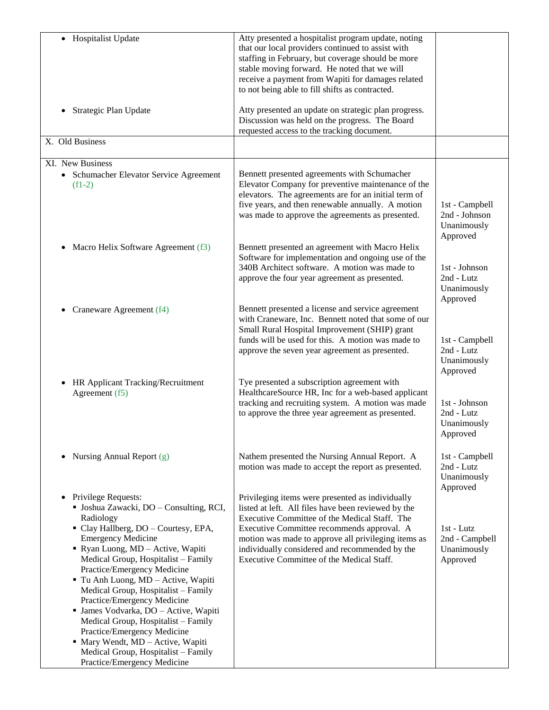| • Hospitalist Update                                                                                                                                                                                                                                                                                                                                                                                                                                                                                                                                                                                        | Atty presented a hospitalist program update, noting<br>that our local providers continued to assist with<br>staffing in February, but coverage should be more<br>stable moving forward. He noted that we will<br>receive a payment from Wapiti for damages related<br>to not being able to fill shifts as contracted.                                        |                                                            |
|-------------------------------------------------------------------------------------------------------------------------------------------------------------------------------------------------------------------------------------------------------------------------------------------------------------------------------------------------------------------------------------------------------------------------------------------------------------------------------------------------------------------------------------------------------------------------------------------------------------|--------------------------------------------------------------------------------------------------------------------------------------------------------------------------------------------------------------------------------------------------------------------------------------------------------------------------------------------------------------|------------------------------------------------------------|
| Strategic Plan Update                                                                                                                                                                                                                                                                                                                                                                                                                                                                                                                                                                                       | Atty presented an update on strategic plan progress.<br>Discussion was held on the progress. The Board<br>requested access to the tracking document.                                                                                                                                                                                                         |                                                            |
| X. Old Business                                                                                                                                                                                                                                                                                                                                                                                                                                                                                                                                                                                             |                                                                                                                                                                                                                                                                                                                                                              |                                                            |
| XI. New Business<br>• Schumacher Elevator Service Agreement<br>$(f1-2)$                                                                                                                                                                                                                                                                                                                                                                                                                                                                                                                                     | Bennett presented agreements with Schumacher<br>Elevator Company for preventive maintenance of the<br>elevators. The agreements are for an initial term of<br>five years, and then renewable annually. A motion<br>was made to approve the agreements as presented.                                                                                          | 1st - Campbell<br>2nd - Johnson<br>Unanimously<br>Approved |
| Macro Helix Software Agreement (f3)<br>$\bullet$                                                                                                                                                                                                                                                                                                                                                                                                                                                                                                                                                            | Bennett presented an agreement with Macro Helix<br>Software for implementation and ongoing use of the<br>340B Architect software. A motion was made to<br>approve the four year agreement as presented.                                                                                                                                                      | 1st - Johnson<br>2nd - Lutz<br>Unanimously<br>Approved     |
| Craneware Agreement (f4)                                                                                                                                                                                                                                                                                                                                                                                                                                                                                                                                                                                    | Bennett presented a license and service agreement<br>with Craneware, Inc. Bennett noted that some of our<br>Small Rural Hospital Improvement (SHIP) grant<br>funds will be used for this. A motion was made to<br>approve the seven year agreement as presented.                                                                                             | 1st - Campbell<br>2nd - Lutz<br>Unanimously<br>Approved    |
| HR Applicant Tracking/Recruitment<br>Agreement (f5)                                                                                                                                                                                                                                                                                                                                                                                                                                                                                                                                                         | Tye presented a subscription agreement with<br>HealthcareSource HR, Inc for a web-based applicant<br>tracking and recruiting system. A motion was made<br>to approve the three year agreement as presented.                                                                                                                                                  | 1st - Johnson<br>2nd - Lutz<br>Unanimously<br>Approved     |
| Nursing Annual Report (g)<br>$\bullet$                                                                                                                                                                                                                                                                                                                                                                                                                                                                                                                                                                      | Nathem presented the Nursing Annual Report. A<br>motion was made to accept the report as presented.                                                                                                                                                                                                                                                          | 1st - Campbell<br>2nd - Lutz<br>Unanimously<br>Approved    |
| Privilege Requests:<br>$\bullet$<br>· Joshua Zawacki, DO - Consulting, RCI,<br>Radiology<br>· Clay Hallberg, DO - Courtesy, EPA,<br><b>Emergency Medicine</b><br>Ryan Luong, MD - Active, Wapiti<br>Medical Group, Hospitalist - Family<br>Practice/Emergency Medicine<br>Tu Anh Luong, MD - Active, Wapiti<br>Medical Group, Hospitalist - Family<br>Practice/Emergency Medicine<br>· James Vodvarka, DO - Active, Wapiti<br>Medical Group, Hospitalist - Family<br>Practice/Emergency Medicine<br>· Mary Wendt, MD - Active, Wapiti<br>Medical Group, Hospitalist - Family<br>Practice/Emergency Medicine | Privileging items were presented as individually<br>listed at left. All files have been reviewed by the<br>Executive Committee of the Medical Staff. The<br>Executive Committee recommends approval. A<br>motion was made to approve all privileging items as<br>individually considered and recommended by the<br>Executive Committee of the Medical Staff. | 1st - Lutz<br>2nd - Campbell<br>Unanimously<br>Approved    |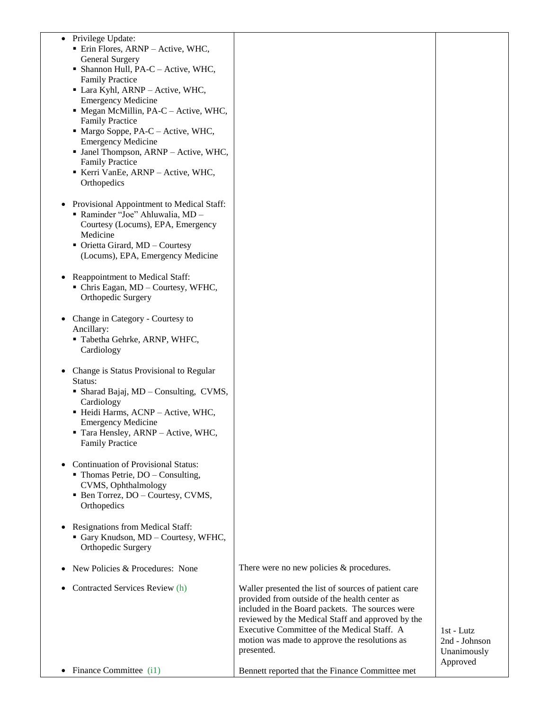| • Privilege Update:<br>· Erin Flores, ARNP - Active, WHC,<br><b>General Surgery</b><br>• Shannon Hull, PA-C - Active, WHC,<br><b>Family Practice</b><br>• Lara Kyhl, ARNP - Active, WHC,<br><b>Emergency Medicine</b><br>· Megan McMillin, PA-C - Active, WHC,<br><b>Family Practice</b><br>Margo Soppe, PA-C - Active, WHC,<br><b>Emergency Medicine</b><br>· Janel Thompson, ARNP - Active, WHC,<br><b>Family Practice</b><br>Kerri VanEe, ARNP - Active, WHC,<br>Orthopedics<br>Provisional Appointment to Medical Staff: |                                                                                                                                                                                                                                                                                                                             |                                              |
|------------------------------------------------------------------------------------------------------------------------------------------------------------------------------------------------------------------------------------------------------------------------------------------------------------------------------------------------------------------------------------------------------------------------------------------------------------------------------------------------------------------------------|-----------------------------------------------------------------------------------------------------------------------------------------------------------------------------------------------------------------------------------------------------------------------------------------------------------------------------|----------------------------------------------|
| - Raminder "Joe" Ahluwalia, MD -<br>Courtesy (Locums), EPA, Emergency<br>Medicine<br>• Orietta Girard, MD - Courtesy<br>(Locums), EPA, Emergency Medicine                                                                                                                                                                                                                                                                                                                                                                    |                                                                                                                                                                                                                                                                                                                             |                                              |
| Reappointment to Medical Staff:<br>• Chris Eagan, MD - Courtesy, WFHC,<br>Orthopedic Surgery                                                                                                                                                                                                                                                                                                                                                                                                                                 |                                                                                                                                                                                                                                                                                                                             |                                              |
| Change in Category - Courtesy to<br>Ancillary:<br>· Tabetha Gehrke, ARNP, WHFC,<br>Cardiology                                                                                                                                                                                                                                                                                                                                                                                                                                |                                                                                                                                                                                                                                                                                                                             |                                              |
| Change is Status Provisional to Regular<br>Status:<br>• Sharad Bajaj, MD - Consulting, CVMS,<br>Cardiology<br>· Heidi Harms, ACNP - Active, WHC,<br><b>Emergency Medicine</b><br>Tara Hensley, ARNP - Active, WHC,<br><b>Family Practice</b>                                                                                                                                                                                                                                                                                 |                                                                                                                                                                                                                                                                                                                             |                                              |
| <b>Continuation of Provisional Status:</b><br>$\blacksquare$ Thomas Petrie, DO – Consulting,<br>CVMS, Ophthalmology<br>• Ben Torrez, DO - Courtesy, CVMS,<br>Orthopedics                                                                                                                                                                                                                                                                                                                                                     |                                                                                                                                                                                                                                                                                                                             |                                              |
| Resignations from Medical Staff:<br>Gary Knudson, MD - Courtesy, WFHC,<br>Orthopedic Surgery                                                                                                                                                                                                                                                                                                                                                                                                                                 |                                                                                                                                                                                                                                                                                                                             |                                              |
| New Policies & Procedures: None                                                                                                                                                                                                                                                                                                                                                                                                                                                                                              | There were no new policies & procedures.                                                                                                                                                                                                                                                                                    |                                              |
| Contracted Services Review (h)                                                                                                                                                                                                                                                                                                                                                                                                                                                                                               | Waller presented the list of sources of patient care<br>provided from outside of the health center as<br>included in the Board packets. The sources were<br>reviewed by the Medical Staff and approved by the<br>Executive Committee of the Medical Staff. A<br>motion was made to approve the resolutions as<br>presented. | $1st - Lutz$<br>2nd - Johnson<br>Unanimously |
| Finance Committee (i1)                                                                                                                                                                                                                                                                                                                                                                                                                                                                                                       | Bennett reported that the Finance Committee met                                                                                                                                                                                                                                                                             | Approved                                     |